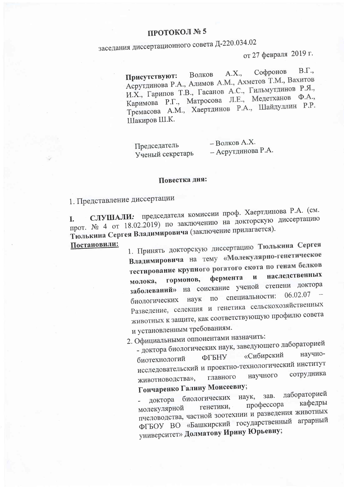## ПРОТОКОЛ № 5

заседания диссертационного совета Д-220.034.02

от 27 февраля 2019 г.

 $B.\Gamma.,$ Софронов A.X., Волков Присутствуют: Асрутдинова Р.А., Алимов А.М., Ахметов Т.М., Вахитов И.Х., Гарипов Т.В., Гасанов А.С., Гильмутдинов Р.Я., Каримова Р.Г., Матросова Л.Е., Медетханов Ф.А., Тремасова А.М., Хаертдинов Р.А., Шайдуллин Р.Р. Шакиров Ш.К.

Председатель Ученый секретарь - Волков А.Х. - Асрутдинова Р.А.

## Повестка дня:

1. Представление диссертации

СЛУШАЛИ: председателя комиссии проф. Хаертдинова Р.А. (см. прот. № 4 от 18.02.2019) по заключению на докторскую диссертацию L. Тюлькина Сергея Владимировича (заключение прилагается).

Постановили:

1. Принять докторскую диссертацию Тюлькина Сергея Владимировича на тему «Молекулярно-генетическое тестирование крупного рогатого скота по генам белков наследственных фермента  $\mathbf{M}$ гормонов, молока, заболеваний» на соискание ученой степени доктора 06.02.07 по специальности: биологических наук Разведение, селекция и генетика сельскохозяйственных животных к защите, как соответствующую профилю совета и установленным требованиям.

2. Официальными оппонентами назначить:

- доктора биологических наук, заведующего лабораторией научно-«Сибирский ФГБНУ биотехнологий исследовательский и проектно-технологический институт сотрудника научного главного животноводства», Гончаренко Галину Моисеевну;

лабораторией зав. биологических наук, доктора кафедры профессора генетики, молекулярной пчеловодства, частной зоотехнии и разведения животных ФГБОУ ВО «Башкирский государственный аграрный университет» Долматову Ирину Юрьевну;